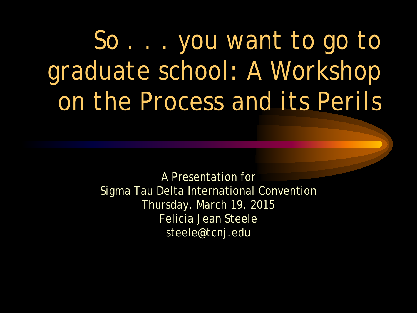*So . . . you want to go to graduate school: A Workshop on the Process and its Perils*

> A Presentation for Sigma Tau Delta International Convention Thursday, March 19, 2015 Felicia Jean Steele steele@tcnj.edu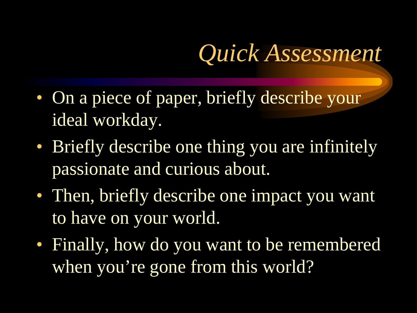## *Quick Assessment*

- On a piece of paper, briefly describe your ideal workday.
- Briefly describe one thing you are infinitely passionate and curious about.
- Then, briefly describe one impact you want to have on your world.
- Finally, how do you want to be remembered when you're gone from this world?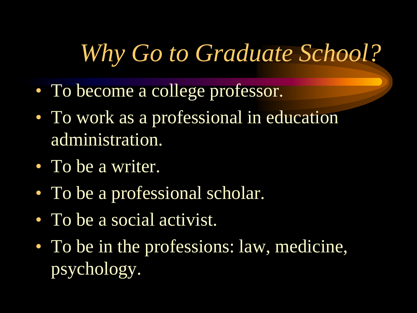### *Why Go to Graduate School?*

- To become a college professor.
- To work as a professional in education administration.
- To be a writer.
- To be a professional scholar.
- To be a social activist.
- To be in the professions: law, medicine, psychology.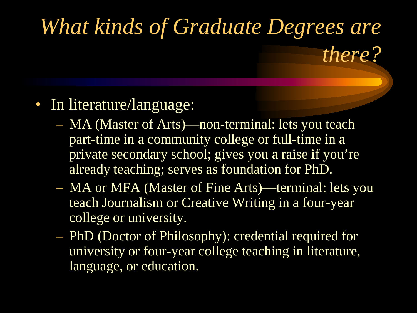# *What kinds of Graduate Degrees are*

*there?*

#### • In literature/language:

- MA (Master of Arts)—non-terminal: lets you teach part-time in a community college or full-time in a private secondary school; gives you a raise if you're already teaching; serves as foundation for PhD.
- MA or MFA (Master of Fine Arts)—terminal: lets you teach Journalism or Creative Writing in a four-year college or university.
- PhD (Doctor of Philosophy): credential required for university or four-year college teaching in literature, language, or education.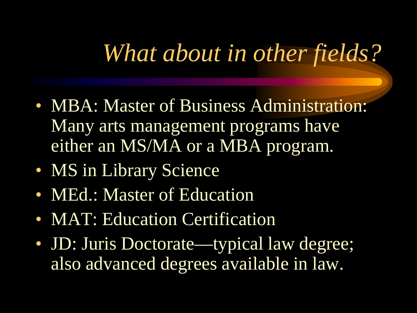#### *What about in other fields?*

- MBA: Master of Business Administration: Many arts management programs have either an MS/MA or a MBA program.
- MS in Library Science
- MEd.: Master of Education
- **MAT: Education Certification**
- JD: Juris Doctorate—typical law degree; also advanced degrees available in law.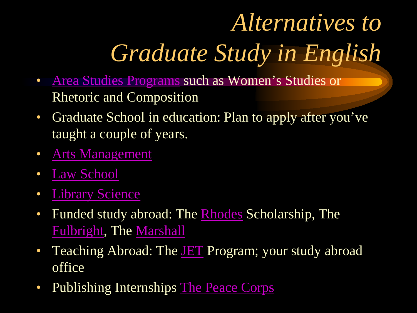# *Alternatives to Graduate Study in English*

- [Area Studies Programs](http://www.gradschools.com/) such as Women's Studies or Rhetoric and Composition
- Graduate School in education: Plan to apply after you've taught a couple of years.
- [Arts Management](http://www.artsmanagement.net/)
- [Law School](http://www.campusaccess.com/campus_web/educ/e3grad_la.htm)
- [Library Science](http://www.ala.org/ala/education/educationcareers.htm)
- Funded study abroad: The [Rhodes](http://www.rhodesscholar.org/) Scholarship, The [Fulbright](http://www.iie.org/fulbright/), The [Marshall](http://www.marshallscholarship.org/)
- Teaching Abroad: The [JET](http://www.mofa.go.jp/policy/culture/people/youth/jet/) Program; your study abroad office
- Publishing Internships [The Peace Corps](http://www.peacecorps.org/indexf.cfm)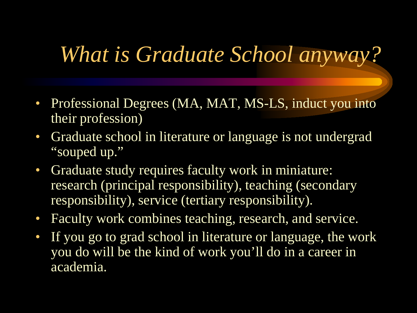#### *What is Graduate School anyway?*

- Professional Degrees (MA, MAT, MS-LS, induct you into their profession)
- Graduate school in literature or language is not undergrad "souped up."
- Graduate study requires faculty work in miniature: research (principal responsibility), teaching (secondary responsibility), service (tertiary responsibility).
- Faculty work combines teaching, research, and service.
- If you go to grad school in literature or language, the work you do will be the kind of work you'll do in a career in academia.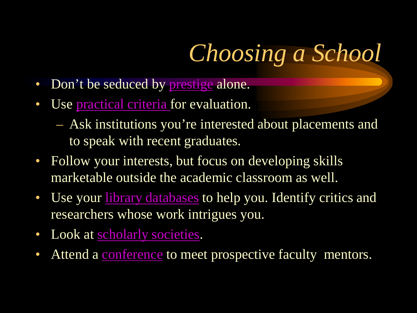# *Choosing a School*

- Don't be seduced by <u>prestige</u> alone.
- Use [practical criteria f](http://www.mla.org/gdp_intro)or evaluation.
	- Ask institutions you're interested about placements and to speak with recent graduates.
- Follow your interests, but focus on developing skills marketable outside the academic classroom as well.
- Use your [library databases](http://www.tcnj.edu/~library/research/index.html) to help you. Identify critics and researchers whose work intrigues you.
- Look at [scholarly societies.](http://www.scholarly-societies.org/subjects_soc.html)
- Attend a [conference](http://www.cfplist.com/) to meet prospective faculty mentors.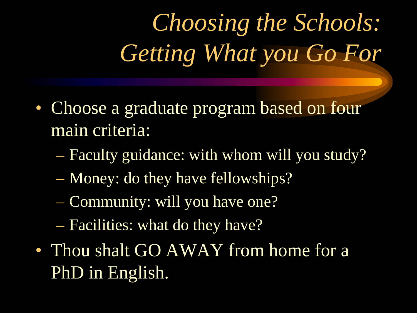*Choosing the Schools: Getting What you Go For*

- Choose a graduate program based on four main criteria:
	- Faculty guidance: with whom will you study?
	- Money: do they have fellowships?
	- Community: will you have one?
	- Facilities: what do they have?
- Thou shalt GO AWAY from home for a PhD in English.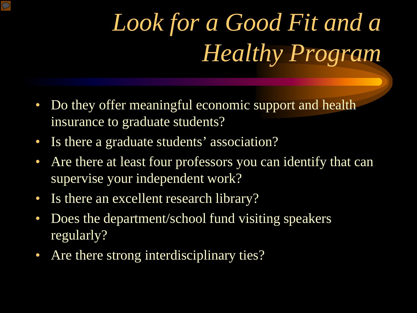# *Look for a Good Fit and a Healthy Program*

- Do they offer meaningful economic support and health insurance to graduate students?
- Is there a graduate students' association?
- Are there at least four professors you can identify that can supervise your independent work?
- Is there an excellent research library?
- Does the department/school fund visiting speakers regularly?
- Are there strong interdisciplinary ties?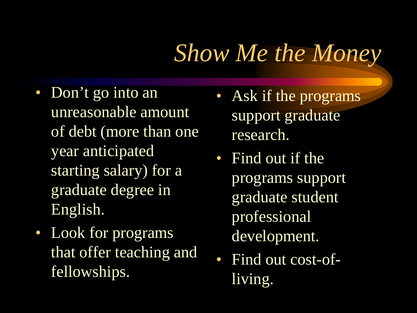### *Show Me the Money*

- Don't go into an unreasonable amount of debt (more than one year anticipated starting salary) for a graduate degree in English.
- Look for programs that offer teaching and fellowships.
- Ask if the programs support graduate research.
- Find out if the programs support graduate student professional development.
- Find out cost-ofliving.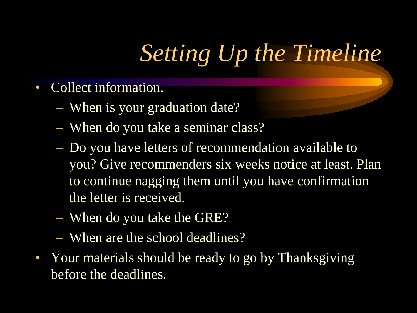# *Setting Up the Timeline*

- Collect information.
	- When is your graduation date?
	- When do you take a seminar class?
	- Do you have letters of recommendation available to you? Give recommenders six weeks notice at least. Plan to continue nagging them until you have confirmation the letter is received.
	- When do you take the GRE?
	- When are the school deadlines?
- Your materials should be ready to go by Thanksgiving before the deadlines.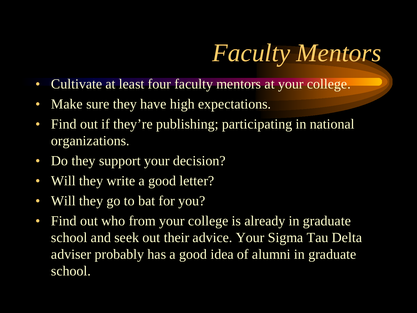# *Faculty Mentors*

- Cultivate at least four faculty mentors at your college.
- Make sure they have high expectations.
- Find out if they're publishing; participating in national organizations.
- Do they support your decision?
- Will they write a good letter?
- Will they go to bat for you?
- Find out who from your college is already in graduate school and seek out their advice. Your Sigma Tau Delta adviser probably has a good idea of alumni in graduate school.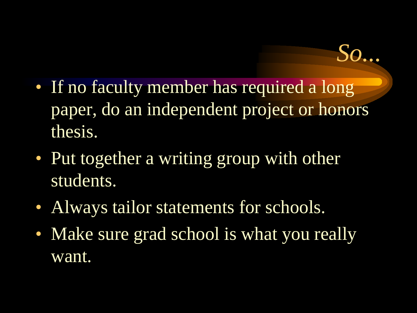• If no faculty member has required a long paper, do an independent project or honors thesis.

*So...*

- Put together a writing group with other students.
- Always tailor statements for schools.
- Make sure grad school is what you really want.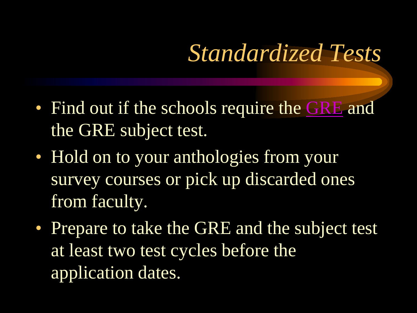### *Standardized Tests*

- Find out if the schools require the [GRE](http://www.gre.org/) and the GRE subject test.
- Hold on to your anthologies from your survey courses or pick up discarded ones from faculty.
- Prepare to take the GRE and the subject test at least two test cycles before the application dates.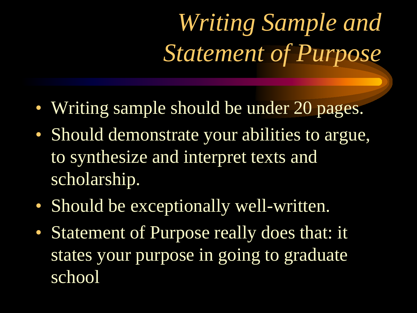*Writing Sample and Statement of Purpose*

- Writing sample should be under 20 pages.
- Should demonstrate your abilities to argue, to synthesize and interpret texts and scholarship.
- Should be exceptionally well-written.
- Statement of Purpose really does that: it states your purpose in going to graduate school